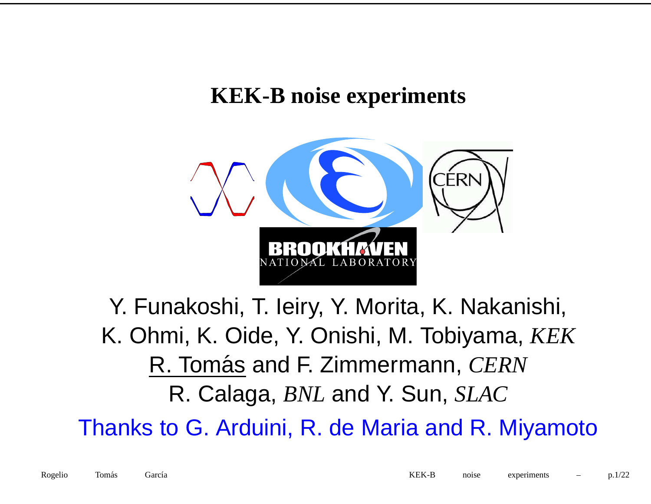#### **KEK-B noise experiments**



#### Y. Funakoshi, T. Ieiry, Y. Morita, K. Nakanishi, K. Ohmi, K. Oide, Y. Onishi, M. Tobiyama, *KEK*R. Tomas´ and F. Zimmermann, *CERN*R. Calaga, *BNL* and Y. Sun, *SLAC*Thanks to G. Arduini, R. de Maria and R. Miyamoto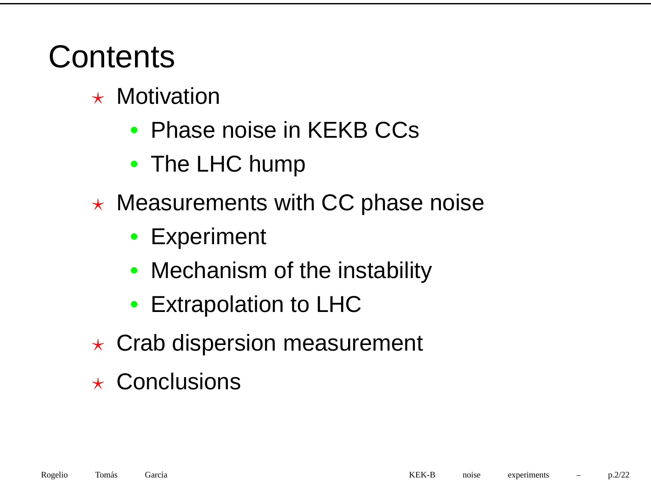#### **Contents**

- $\star$  Motivation
	- Phase noise in KEKB CCs
	- The LHC hump
- $\star$  Measurements with CC phase noise
	- Experiment
	- Mechanism of the instability
	- Extrapolation to LHC
- $\star$  Crab dispersion measurement
- $\star$  Conclusions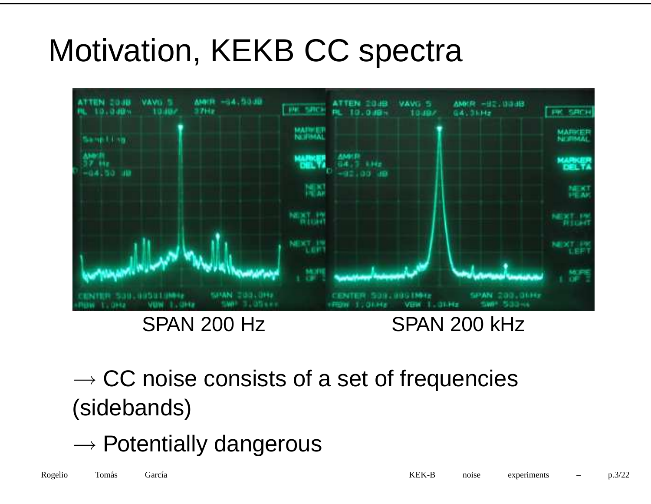### Motivation, KEKB CC spectra



#### SPAN 200 Hz

SPAN <sup>200</sup> kHz

#### $\rightarrow$  CC noise consists of a set of frequencies<br>(sidebands) (sidebands)

 $\rightarrow$  Potentially dangerous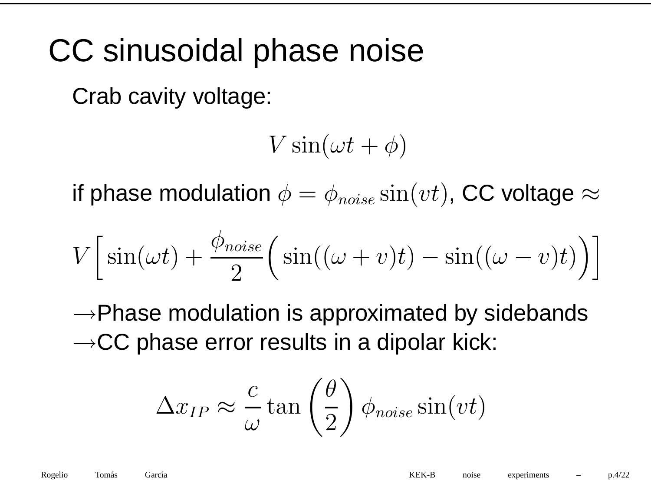#### CC sinusoidal phase noise

Crab cavity voltage:

 $V \sin(\omega t + \phi)$ 

if phase modulation  $\phi$ = $\phi_{noise} \sin(v t)$ , CC voltage  $\approx$ 

$$
V\Big[\sin(\omega t) + \frac{\phi_{noise}}{2}\Big(\sin((\omega + v)t) - \sin((\omega - v)t)\Big)\Big]
$$

 $\rightarrow$ Phase modulation is approximated by sidebands  $\rightarrow CC$  phase error results in a dipolar kick:

$$
\Delta x_{IP} \approx \frac{c}{\omega} \tan \left(\frac{\theta}{2}\right) \phi_{noise} \sin(vt)
$$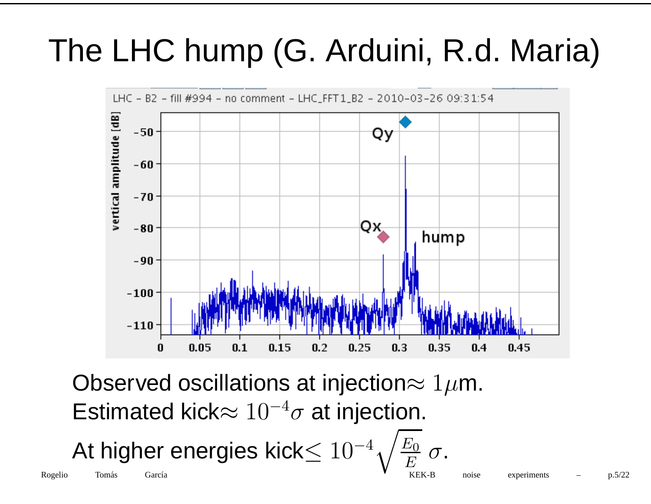## The LHC hump (G. Arduini, R.d. Maria)



Observed oscillations at injection $\approx1\mu$ m. Estimated kick $\approx 10^{-4}\sigma$  at injectio  $^{4}\sigma$  at injection.

At higher energies kick $\leq 10^{-1}$ 4 $\sqrt{}$  $\,E$ 0 $\,E$ σ.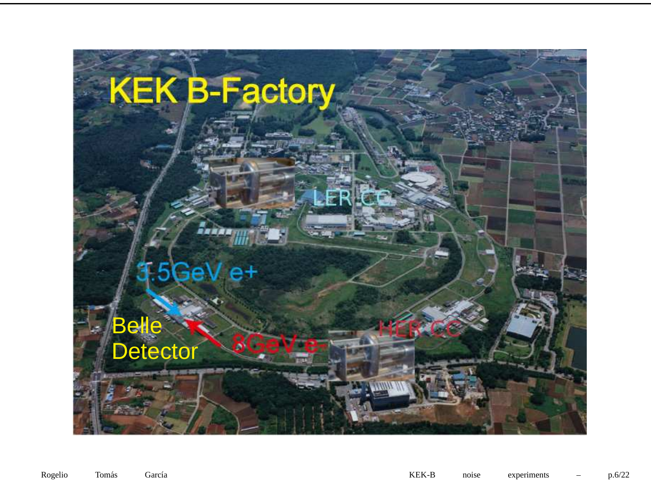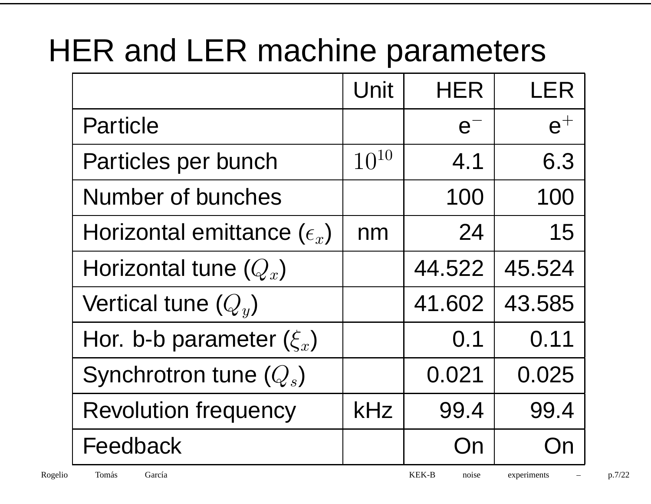### HER and LER machine parameters

|                                     | Unit      | <b>HER</b> | LER    |
|-------------------------------------|-----------|------------|--------|
| <b>Particle</b>                     |           | $e^{-}$    | $e^+$  |
| Particles per bunch                 | $10^{10}$ | 4.1        | 6.3    |
| Number of bunches                   |           | 100        | 100    |
| Horizontal emittance $(\epsilon_x)$ | nm        | 24         | 15     |
| Horizontal tune $(Q_x)$             |           | 44.522     | 45.524 |
| Vertical tune $(Q_y)$               |           | 41.602     | 43.585 |
| Hor. b-b parameter $(\xi_x)$        |           | 0.1        | 0.11   |
| Synchrotron tune $(Q_s)$            |           | 0.021      | 0.025  |
| <b>Revolution frequency</b>         | kHz       | 99.4       | 99.4   |
| Feedback                            |           |            |        |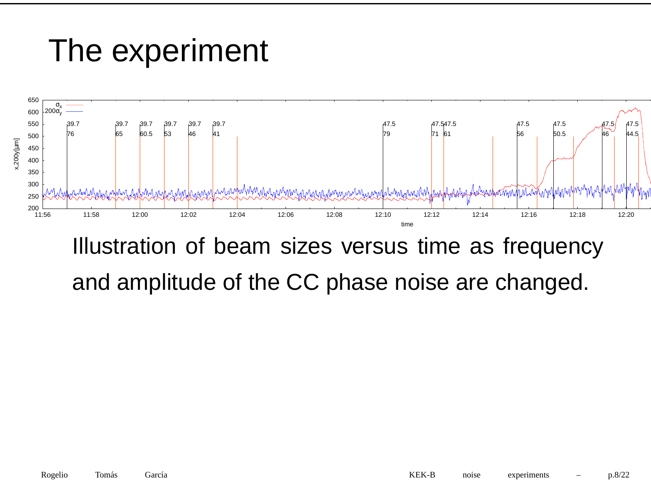#### The experiment



#### Illustration of beam sizes versus time as frequencyand amplitude of the CC phase noise are changed.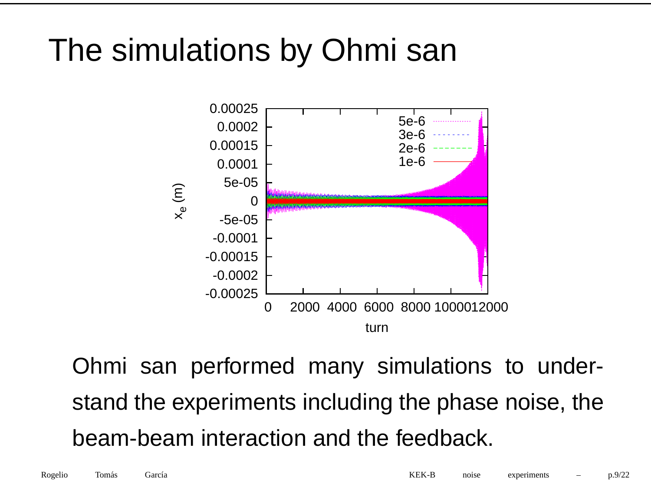#### The simulations by Ohmi san



Ohmi san performed many simulations to understand the experiments including the phase noise, thebeam-beam interaction and the feedback.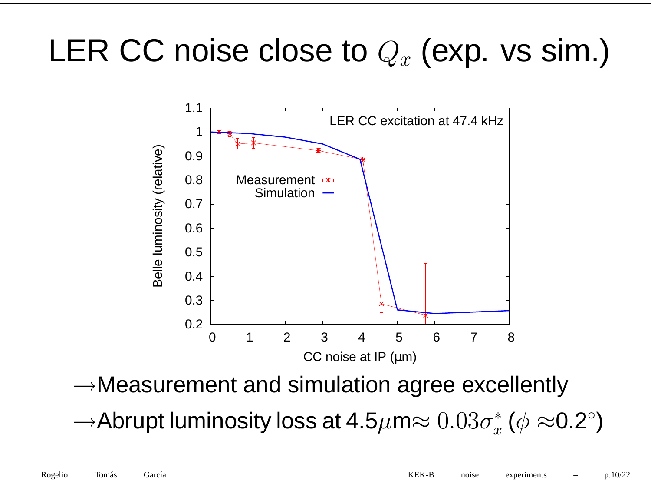#### LER CC noise close to  $Q_x$  $_x$  (exp. vs sim.)



 $\rightarrow$ Measurement and simulation agree excellently

 $\rightarrow$ Abrupt luminosity loss at 4.5 $\mu$ m $\approx 0.03\sigma_x^*$  $_{x}^{*}\left( \phi \approx$ 0.2°  $^\circ)$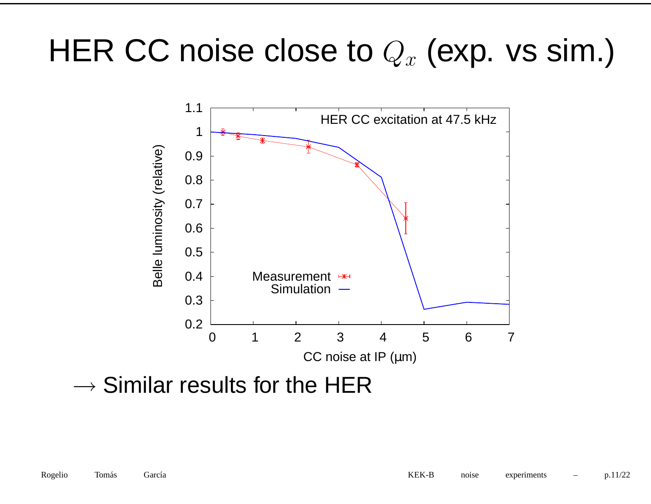#### HER CC noise close to  $Q_x$  $_x$  (exp. vs sim.)

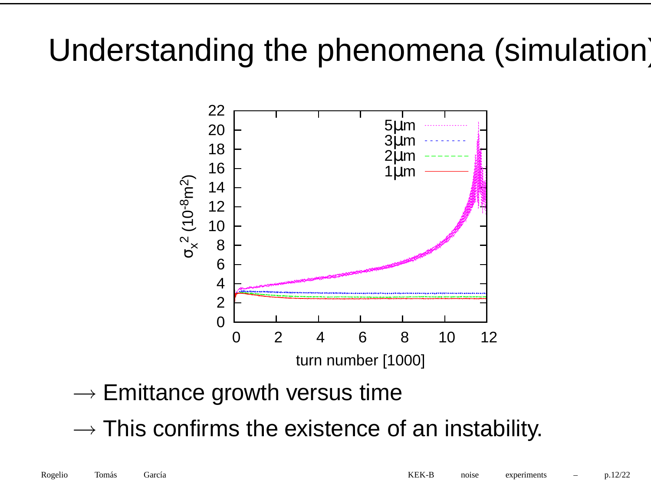### Understanding the phenomena (simulation)



- $\rightarrow$  Emittance growth versus time
- $\rightarrow$  This confirms the existence of an instability.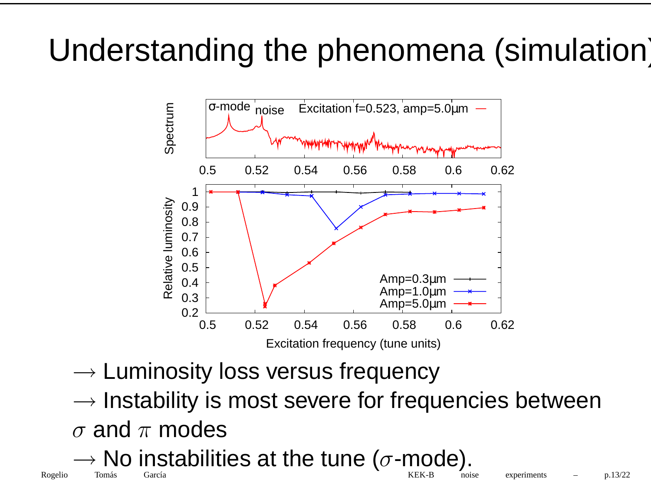## Understanding the phenomena (simulation)



- $\rightarrow$  Luminosity loss versus frequency<br> $\rightarrow$  Instability is most severe for frequ
- $\rightarrow$  Instability is most severe for frequencies between<br> $\sigma$  and  $\pi$  modes  $\sigma$  and  $\pi$  modes
- $\rightarrow$  No instabilities at the tune ( $\sigma$ -mode).<br>  $\sigma$ <sub>rek-B</sub>  $\sigma$ <sub>noi</sub>

Rogelio Tomás García

noise KEK-B noise experiments – p.13/22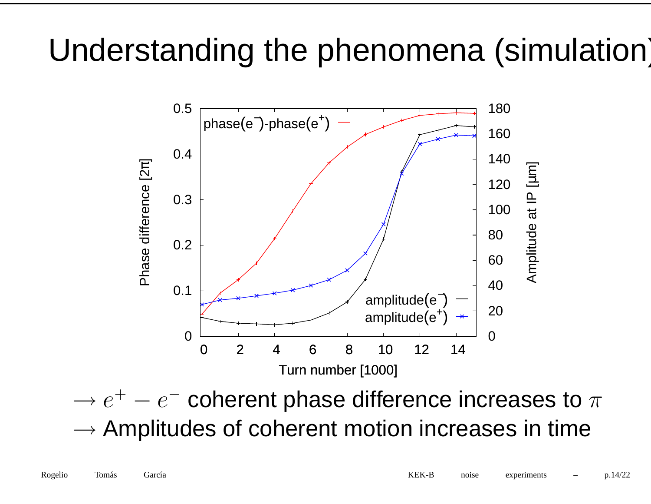### Understanding the phenomena (simulation)



 $\longrightarrow e$  $^+-e^-$  coherent phase difference increases to  $\pi$  $\rightarrow$  Amplitudes of coherent motion increases in time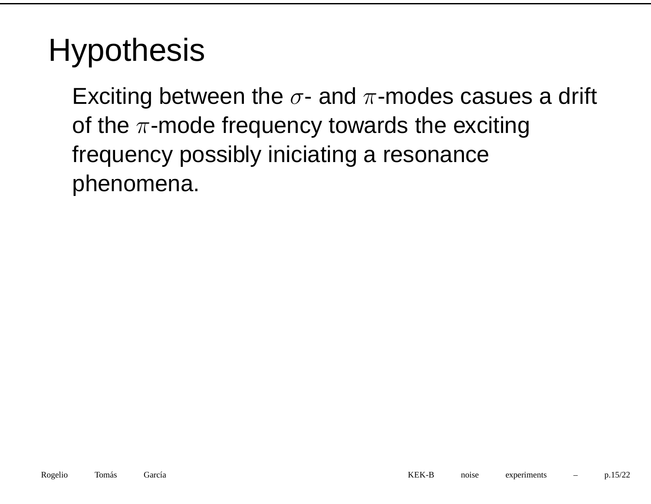## **Hypothesis**

Exciting between the  $\sigma$ - and  $\pi$ -modes casues a drift of the  $\pi$ -mode frequency towards the exciting frequency possibly iniciating <sup>a</sup> resonancephenomena.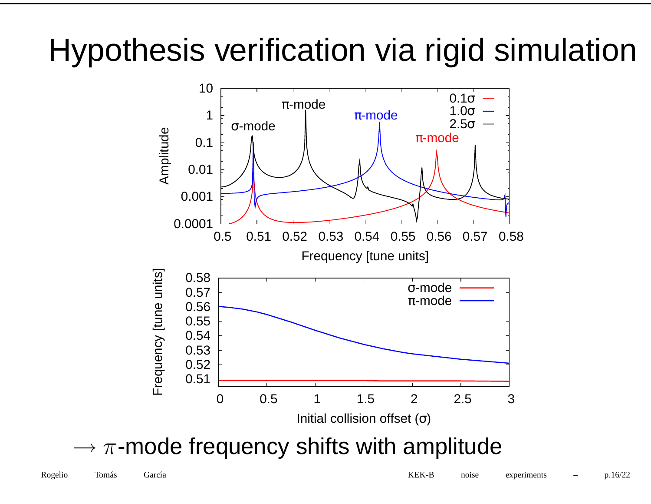## Hypothesis verification via rigid simulation

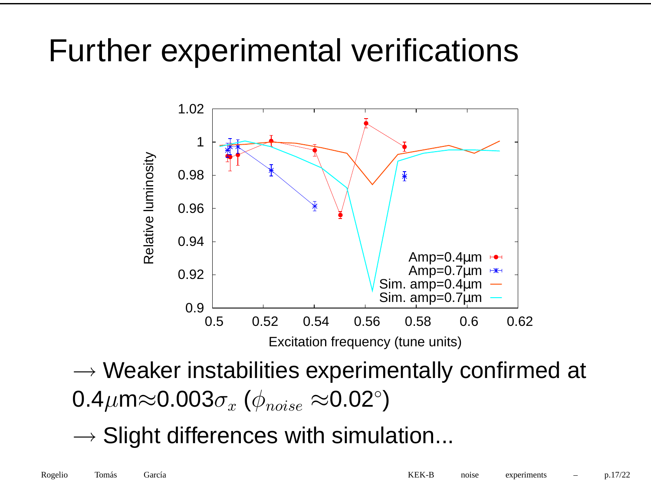#### Further experimental verifications



 $\rightarrow$  Weaker instabilities experimentally confirmed at<br>0.4um~0.003 $\sigma$ . (\$ = ~0.02°) 0.4 $\mu$ m ${\approx}$ 0.003 $\sigma_x$  ( $\phi_{noise}$   ${\approx}$ 0.02°  $^\circ)$ 

 $\rightarrow$  Slight differences with simulation...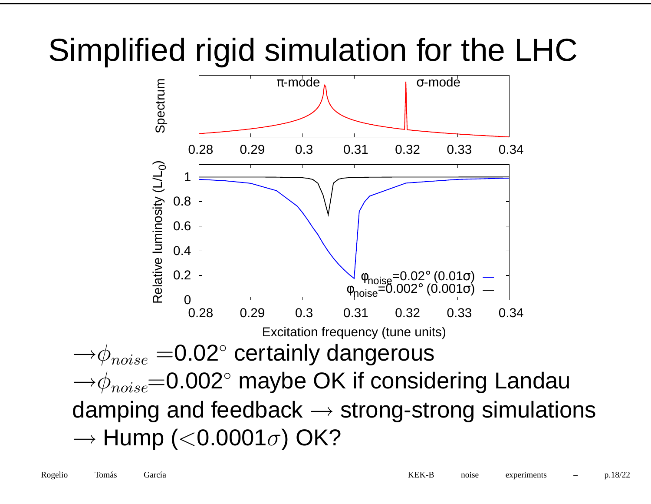### Simplified rigid simulation for the LHC

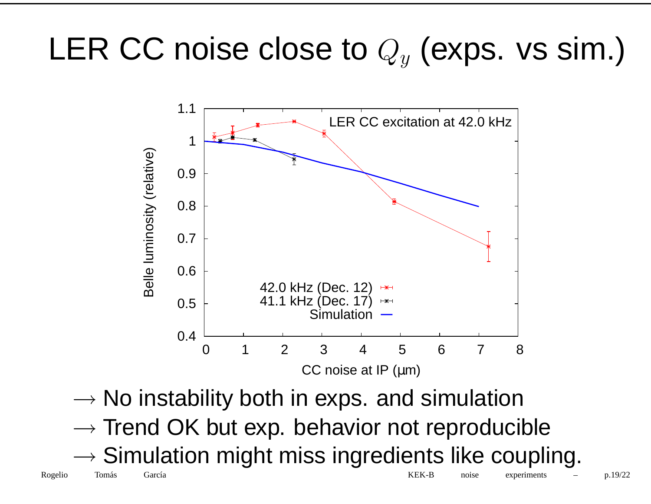# LER CC noise close to  $Q_y$  (exps. vs sim.)



 $\rightarrow$  No instability both in exps. and simulation<br> $\rightarrow$  Trend OK but exp. behavior not reproduci

 $\rightarrow$  Trend OK but exp. behavior not reproducible<br> $\rightarrow$  Simulation might miss ingredients like coupli  $\rightarrow$  Simulation might miss ingredients like coupling.<br>  $\rightarrow$   $\frac{1}{T_{\text{Omás}}}$   $\frac{1}{G_{\text{arci}}}}$   $\frac{1}{G_{\text{arci}}}}$   $\frac{1}{T_{\text{Omás}}}$   $\frac{1}{T_{\text{Omiss}}}$   $\frac{1}{T_{\text{Omiss}}}$ 

Rogelio Tomás García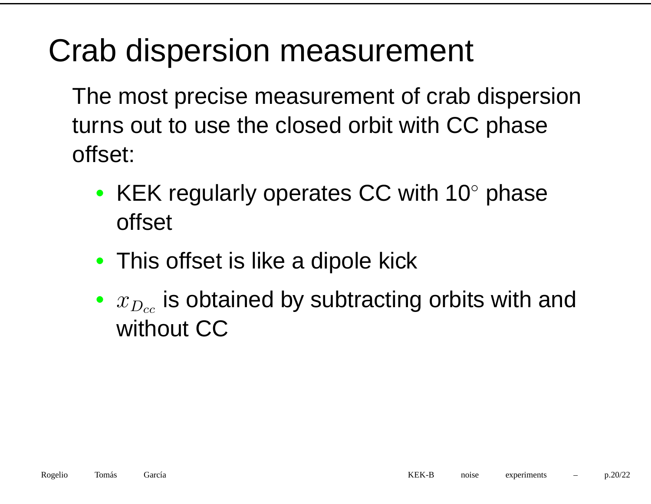#### Crab dispersion measurement

The most precise measurement of crab dispersionturns out to use the closed orbit with CC phaseoffset:

- KEK regularly operates CC with 10° phase offset
- This offset is like <sup>a</sup> dipole kick
- $\bullet$   $\; x_{D_{cc}}$  is obtained by subtracting orbits with and without CC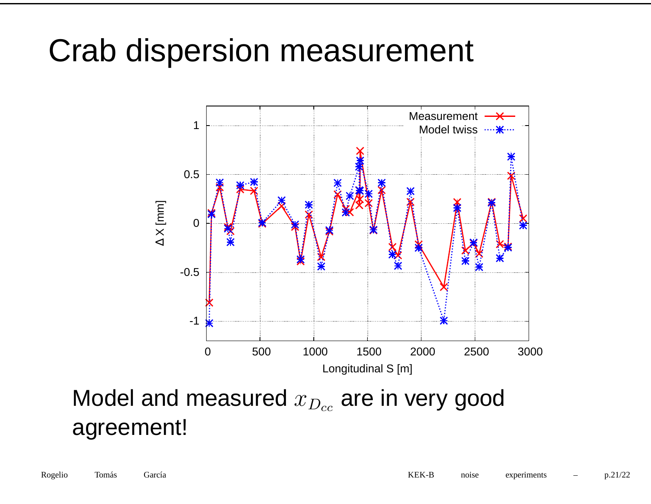#### Crab dispersion measurement



#### Model and measured  $x_{D_{cc}}$  are in very good agreement!